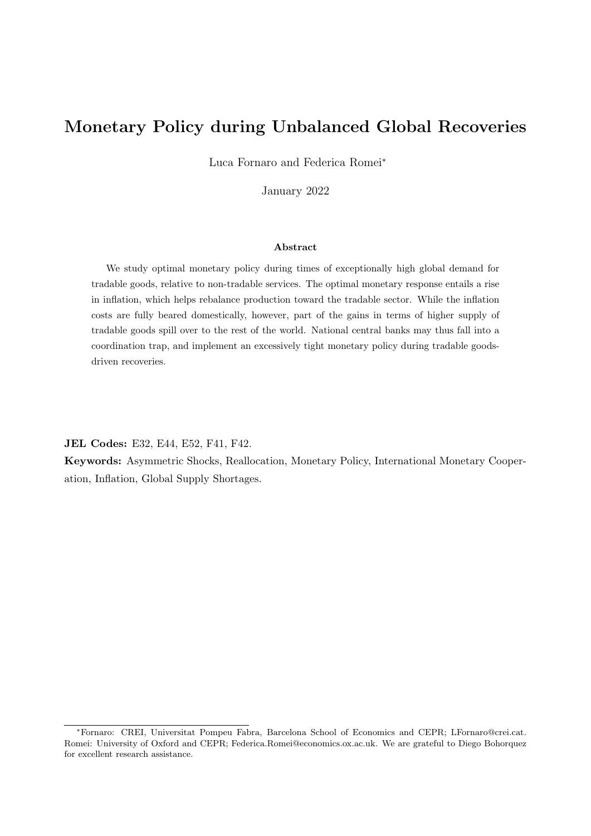# Monetary Policy during Unbalanced Global Recoveries

Luca Fornaro and Federica Romei<sup>∗</sup>

January 2022

## Abstract

We study optimal monetary policy during times of exceptionally high global demand for tradable goods, relative to non-tradable services. The optimal monetary response entails a rise in inflation, which helps rebalance production toward the tradable sector. While the inflation costs are fully beared domestically, however, part of the gains in terms of higher supply of tradable goods spill over to the rest of the world. National central banks may thus fall into a coordination trap, and implement an excessively tight monetary policy during tradable goodsdriven recoveries.

JEL Codes: E32, E44, E52, F41, F42.

Keywords: Asymmetric Shocks, Reallocation, Monetary Policy, International Monetary Cooperation, Inflation, Global Supply Shortages.

<sup>∗</sup>Fornaro: CREI, Universitat Pompeu Fabra, Barcelona School of Economics and CEPR; LFornaro@crei.cat. Romei: University of Oxford and CEPR; Federica.Romei@economics.ox.ac.uk. We are grateful to Diego Bohorquez for excellent research assistance.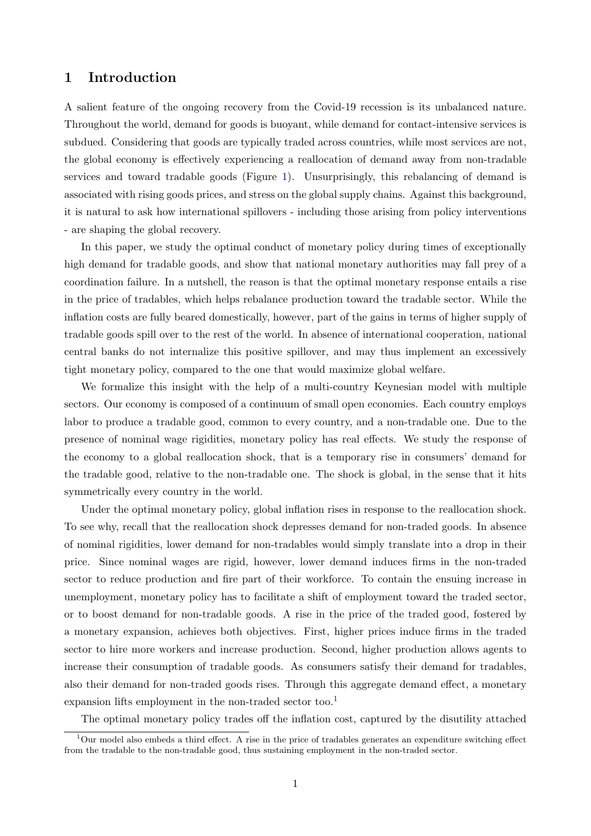# 1 Introduction

A salient feature of the ongoing recovery from the Covid-19 recession is its unbalanced nature. Throughout the world, demand for goods is buoyant, while demand for contact-intensive services is subdued. Considering that goods are typically traded across countries, while most services are not, the global economy is effectively experiencing a reallocation of demand away from non-tradable services and toward tradable goods (Figure [1\)](#page-2-0). Unsurprisingly, this rebalancing of demand is associated with rising goods prices, and stress on the global supply chains. Against this background, it is natural to ask how international spillovers - including those arising from policy interventions - are shaping the global recovery.

In this paper, we study the optimal conduct of monetary policy during times of exceptionally high demand for tradable goods, and show that national monetary authorities may fall prey of a coordination failure. In a nutshell, the reason is that the optimal monetary response entails a rise in the price of tradables, which helps rebalance production toward the tradable sector. While the inflation costs are fully beared domestically, however, part of the gains in terms of higher supply of tradable goods spill over to the rest of the world. In absence of international cooperation, national central banks do not internalize this positive spillover, and may thus implement an excessively tight monetary policy, compared to the one that would maximize global welfare.

We formalize this insight with the help of a multi-country Keynesian model with multiple sectors. Our economy is composed of a continuum of small open economies. Each country employs labor to produce a tradable good, common to every country, and a non-tradable one. Due to the presence of nominal wage rigidities, monetary policy has real effects. We study the response of the economy to a global reallocation shock, that is a temporary rise in consumers' demand for the tradable good, relative to the non-tradable one. The shock is global, in the sense that it hits symmetrically every country in the world.

Under the optimal monetary policy, global inflation rises in response to the reallocation shock. To see why, recall that the reallocation shock depresses demand for non-traded goods. In absence of nominal rigidities, lower demand for non-tradables would simply translate into a drop in their price. Since nominal wages are rigid, however, lower demand induces firms in the non-traded sector to reduce production and fire part of their workforce. To contain the ensuing increase in unemployment, monetary policy has to facilitate a shift of employment toward the traded sector, or to boost demand for non-tradable goods. A rise in the price of the traded good, fostered by a monetary expansion, achieves both objectives. First, higher prices induce firms in the traded sector to hire more workers and increase production. Second, higher production allows agents to increase their consumption of tradable goods. As consumers satisfy their demand for tradables, also their demand for non-traded goods rises. Through this aggregate demand effect, a monetary expansion lifts employment in the non-traded sector too.<sup>[1](#page-1-0)</sup>

<span id="page-1-0"></span>The optimal monetary policy trades off the inflation cost, captured by the disutility attached

 $1$ Our model also embeds a third effect. A rise in the price of tradables generates an expenditure switching effect from the tradable to the non-tradable good, thus sustaining employment in the non-traded sector.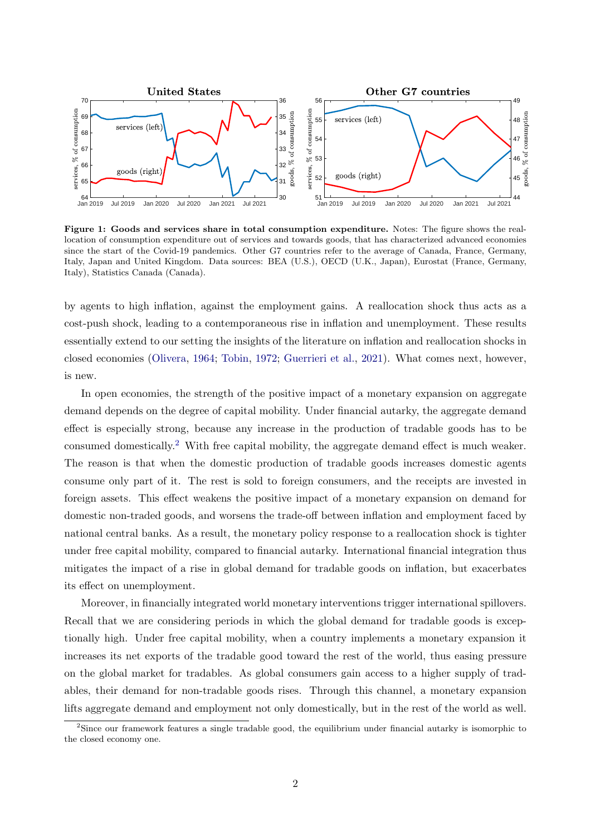<span id="page-2-0"></span>

Figure 1: Goods and services share in total consumption expenditure. Notes: The figure shows the reallocation of consumption expenditure out of services and towards goods, that has characterized advanced economies since the start of the Covid-19 pandemics. Other G7 countries refer to the average of Canada, France, Germany, Italy, Japan and United Kingdom. Data sources: BEA (U.S.), OECD (U.K., Japan), Eurostat (France, Germany, Italy), Statistics Canada (Canada).

by agents to high inflation, against the employment gains. A reallocation shock thus acts as a cost-push shock, leading to a contemporaneous rise in inflation and unemployment. These results essentially extend to our setting the insights of the literature on inflation and reallocation shocks in closed economies [\(Olivera,](#page-23-0) [1964;](#page-23-0) [Tobin,](#page-23-1) [1972;](#page-23-1) [Guerrieri et al.,](#page-23-2) [2021\)](#page-23-2). What comes next, however, is new.

In open economies, the strength of the positive impact of a monetary expansion on aggregate demand depends on the degree of capital mobility. Under financial autarky, the aggregate demand effect is especially strong, because any increase in the production of tradable goods has to be consumed domestically.[2](#page-2-1) With free capital mobility, the aggregate demand effect is much weaker. The reason is that when the domestic production of tradable goods increases domestic agents consume only part of it. The rest is sold to foreign consumers, and the receipts are invested in foreign assets. This effect weakens the positive impact of a monetary expansion on demand for domestic non-traded goods, and worsens the trade-off between inflation and employment faced by national central banks. As a result, the monetary policy response to a reallocation shock is tighter under free capital mobility, compared to financial autarky. International financial integration thus mitigates the impact of a rise in global demand for tradable goods on inflation, but exacerbates its effect on unemployment.

Moreover, in financially integrated world monetary interventions trigger international spillovers. Recall that we are considering periods in which the global demand for tradable goods is exceptionally high. Under free capital mobility, when a country implements a monetary expansion it increases its net exports of the tradable good toward the rest of the world, thus easing pressure on the global market for tradables. As global consumers gain access to a higher supply of tradables, their demand for non-tradable goods rises. Through this channel, a monetary expansion lifts aggregate demand and employment not only domestically, but in the rest of the world as well.

<span id="page-2-1"></span><sup>2</sup>Since our framework features a single tradable good, the equilibrium under financial autarky is isomorphic to the closed economy one.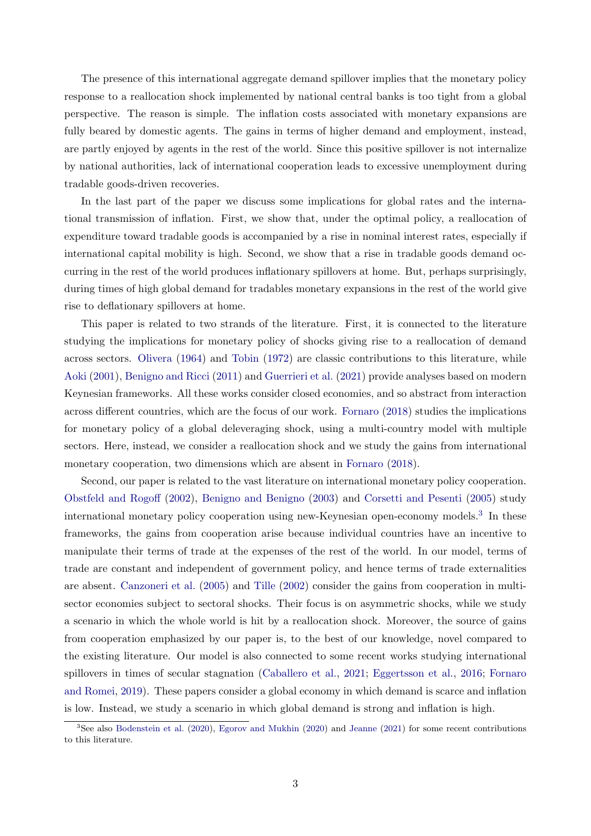The presence of this international aggregate demand spillover implies that the monetary policy response to a reallocation shock implemented by national central banks is too tight from a global perspective. The reason is simple. The inflation costs associated with monetary expansions are fully beared by domestic agents. The gains in terms of higher demand and employment, instead, are partly enjoyed by agents in the rest of the world. Since this positive spillover is not internalize by national authorities, lack of international cooperation leads to excessive unemployment during tradable goods-driven recoveries.

In the last part of the paper we discuss some implications for global rates and the international transmission of inflation. First, we show that, under the optimal policy, a reallocation of expenditure toward tradable goods is accompanied by a rise in nominal interest rates, especially if international capital mobility is high. Second, we show that a rise in tradable goods demand occurring in the rest of the world produces inflationary spillovers at home. But, perhaps surprisingly, during times of high global demand for tradables monetary expansions in the rest of the world give rise to deflationary spillovers at home.

This paper is related to two strands of the literature. First, it is connected to the literature studying the implications for monetary policy of shocks giving rise to a reallocation of demand across sectors. [Olivera](#page-23-0) [\(1964\)](#page-23-0) and [Tobin](#page-23-1) [\(1972\)](#page-23-1) are classic contributions to this literature, while [Aoki](#page-22-0) [\(2001\)](#page-22-0), [Benigno and Ricci](#page-22-1) [\(2011\)](#page-22-1) and [Guerrieri et al.](#page-23-2) [\(2021\)](#page-23-2) provide analyses based on modern Keynesian frameworks. All these works consider closed economies, and so abstract from interaction across different countries, which are the focus of our work. [Fornaro](#page-23-3) [\(2018\)](#page-23-3) studies the implications for monetary policy of a global deleveraging shock, using a multi-country model with multiple sectors. Here, instead, we consider a reallocation shock and we study the gains from international monetary cooperation, two dimensions which are absent in [Fornaro](#page-23-3) [\(2018\)](#page-23-3).

Second, our paper is related to the vast literature on international monetary policy cooperation. [Obstfeld and Rogoff](#page-23-4) [\(2002\)](#page-23-4), [Benigno and Benigno](#page-22-2) [\(2003\)](#page-22-2) and [Corsetti and Pesenti](#page-23-5) [\(2005\)](#page-23-5) study international monetary policy cooperation using new-Keynesian open-economy models.<sup>[3](#page-3-0)</sup> In these frameworks, the gains from cooperation arise because individual countries have an incentive to manipulate their terms of trade at the expenses of the rest of the world. In our model, terms of trade are constant and independent of government policy, and hence terms of trade externalities are absent. [Canzoneri et al.](#page-23-6) [\(2005\)](#page-23-6) and [Tille](#page-23-7) [\(2002\)](#page-23-7) consider the gains from cooperation in multisector economies subject to sectoral shocks. Their focus is on asymmetric shocks, while we study a scenario in which the whole world is hit by a reallocation shock. Moreover, the source of gains from cooperation emphasized by our paper is, to the best of our knowledge, novel compared to the existing literature. Our model is also connected to some recent works studying international spillovers in times of secular stagnation [\(Caballero et al.,](#page-23-8) [2021;](#page-23-8) [Eggertsson et al.,](#page-23-9) [2016;](#page-23-9) [Fornaro](#page-23-10) [and Romei,](#page-23-10) [2019\)](#page-23-10). These papers consider a global economy in which demand is scarce and inflation is low. Instead, we study a scenario in which global demand is strong and inflation is high.

<span id="page-3-0"></span><sup>&</sup>lt;sup>3</sup>See also [Bodenstein et al.](#page-22-3) [\(2020\)](#page-23-11), [Egorov and Mukhin](#page-23-11) (2020) and [Jeanne](#page-23-12) [\(2021\)](#page-23-12) for some recent contributions to this literature.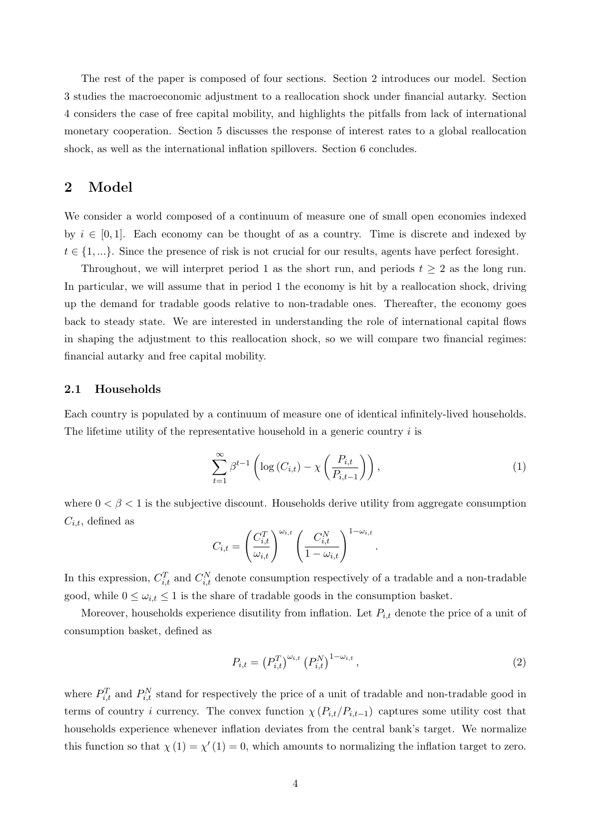The rest of the paper is composed of four sections. Section 2 introduces our model. Section 3 studies the macroeconomic adjustment to a reallocation shock under financial autarky. Section 4 considers the case of free capital mobility, and highlights the pitfalls from lack of international monetary cooperation. Section 5 discusses the response of interest rates to a global reallocation shock, as well as the international inflation spillovers. Section 6 concludes.

# 2 Model

We consider a world composed of a continuum of measure one of small open economies indexed by  $i \in [0, 1]$ . Each economy can be thought of as a country. Time is discrete and indexed by  $t \in \{1, \ldots\}$ . Since the presence of risk is not crucial for our results, agents have perfect foresight.

Throughout, we will interpret period 1 as the short run, and periods  $t \geq 2$  as the long run. In particular, we will assume that in period 1 the economy is hit by a reallocation shock, driving up the demand for tradable goods relative to non-tradable ones. Thereafter, the economy goes back to steady state. We are interested in understanding the role of international capital flows in shaping the adjustment to this reallocation shock, so we will compare two financial regimes: financial autarky and free capital mobility.

### 2.1 Households

Each country is populated by a continuum of measure one of identical infinitely-lived households. The lifetime utility of the representative household in a generic country  $i$  is

<span id="page-4-0"></span>
$$
\sum_{t=1}^{\infty} \beta^{t-1} \left( \log \left( C_{i,t} \right) - \chi \left( \frac{P_{i,t}}{P_{i,t-1}} \right) \right),\tag{1}
$$

where  $0 < \beta < 1$  is the subjective discount. Households derive utility from aggregate consumption  $C_{i,t}$ , defined as

$$
C_{i,t} = \left(\frac{C_{i,t}^T}{\omega_{i,t}}\right)^{\omega_{i,t}} \left(\frac{C_{i,t}^N}{1 - \omega_{i,t}}\right)^{1 - \omega_{i,t}}.
$$

In this expression,  $C_{i,t}^T$  and  $C_{i,t}^N$  denote consumption respectively of a tradable and a non-tradable good, while  $0 \leq \omega_{i,t} \leq 1$  is the share of tradable goods in the consumption basket.

Moreover, households experience disutility from inflation. Let  $P_{i,t}$  denote the price of a unit of consumption basket, defined as

<span id="page-4-1"></span>
$$
P_{i,t} = (P_{i,t}^T)^{\omega_{i,t}} (P_{i,t}^N)^{1-\omega_{i,t}},
$$
\n(2)

where  $P_{i,t}^T$  and  $P_{i,t}^N$  stand for respectively the price of a unit of tradable and non-tradable good in terms of country i currency. The convex function  $\chi(P_{i,t}/P_{i,t-1})$  captures some utility cost that households experience whenever inflation deviates from the central bank's target. We normalize this function so that  $\chi(1) = \chi'(1) = 0$ , which amounts to normalizing the inflation target to zero.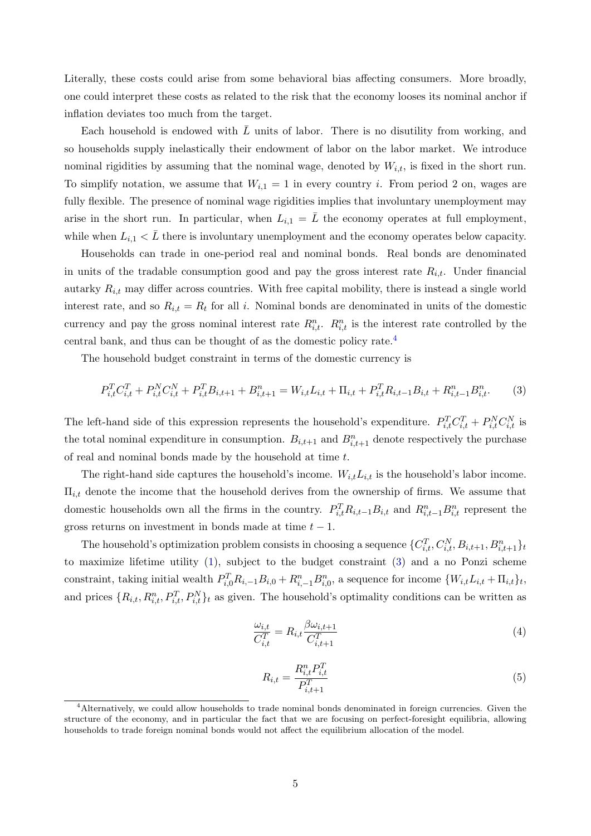Literally, these costs could arise from some behavioral bias affecting consumers. More broadly, one could interpret these costs as related to the risk that the economy looses its nominal anchor if inflation deviates too much from the target.

Each household is endowed with  $\bar{L}$  units of labor. There is no disutility from working, and so households supply inelastically their endowment of labor on the labor market. We introduce nominal rigidities by assuming that the nominal wage, denoted by  $W_{i,t}$ , is fixed in the short run. To simplify notation, we assume that  $W_{i,1} = 1$  in every country i. From period 2 on, wages are fully flexible. The presence of nominal wage rigidities implies that involuntary unemployment may arise in the short run. In particular, when  $L_{i,1} = L$  the economy operates at full employment, while when  $L_{i,1} < \bar{L}$  there is involuntary unemployment and the economy operates below capacity.

Households can trade in one-period real and nominal bonds. Real bonds are denominated in units of the tradable consumption good and pay the gross interest rate  $R_{i,t}$ . Under financial autarky  $R_{i,t}$  may differ across countries. With free capital mobility, there is instead a single world interest rate, and so  $R_{i,t} = R_t$  for all i. Nominal bonds are denominated in units of the domestic currency and pay the gross nominal interest rate  $R_{i,t}^n$ .  $R_{i,t}^n$  is the interest rate controlled by the central bank, and thus can be thought of as the domestic policy rate.[4](#page-5-0)

The household budget constraint in terms of the domestic currency is

<span id="page-5-1"></span>
$$
P_{i,t}^T C_{i,t}^T + P_{i,t}^N C_{i,t}^N + P_{i,t}^T B_{i,t+1} + B_{i,t+1}^n = W_{i,t} L_{i,t} + \Pi_{i,t} + P_{i,t}^T R_{i,t-1} B_{i,t} + R_{i,t-1}^n B_{i,t}^n.
$$
 (3)

The left-hand side of this expression represents the household's expenditure.  $P_{i,t}^T C_{i,t}^T + P_{i,t}^N C_{i,t}^N$  is the total nominal expenditure in consumption.  $B_{i,t+1}$  and  $B_{i,t+1}^n$  denote respectively the purchase of real and nominal bonds made by the household at time t.

The right-hand side captures the household's income.  $W_{i,t}L_{i,t}$  is the household's labor income.  $\Pi_{i,t}$  denote the income that the household derives from the ownership of firms. We assume that domestic households own all the firms in the country.  $P_{i,t}^T R_{i,t-1} B_{i,t}$  and  $R_{i,t-1}^n B_{i,t}^n$  represent the gross returns on investment in bonds made at time  $t - 1$ .

The household's optimization problem consists in choosing a sequence  $\{C_{i,t}^T, C_{i,t}^N, B_{i,t+1}, B_{i,t+1}^n\}_{t=1}^n$ to maximize lifetime utility [\(1\)](#page-4-0), subject to the budget constraint [\(3\)](#page-5-1) and a no Ponzi scheme constraint, taking initial wealth  $P_{i,0}^T R_{i,-1} B_{i,0}^T + R_{i,-1}^n B_{i,0}^n$ , a sequence for income  $\{W_{i,t} L_{i,t} + \Pi_{i,t}\}_t$ , and prices  $\{R_{i,t}, R_{i,t}^n, P_{i,t}^T, P_{i,t}^N\}$  as given. The household's optimality conditions can be written as

<span id="page-5-2"></span>
$$
\frac{\omega_{i,t}}{C_{i,t}^T} = R_{i,t} \frac{\beta \omega_{i,t+1}}{C_{i,t+1}^T} \tag{4}
$$

<span id="page-5-3"></span>
$$
R_{i,t} = \frac{R_{i,t}^n P_{i,t}^T}{P_{i,t+1}^T}
$$
\n(5)

<span id="page-5-0"></span><sup>&</sup>lt;sup>4</sup>Alternatively, we could allow households to trade nominal bonds denominated in foreign currencies. Given the structure of the economy, and in particular the fact that we are focusing on perfect-foresight equilibria, allowing households to trade foreign nominal bonds would not affect the equilibrium allocation of the model.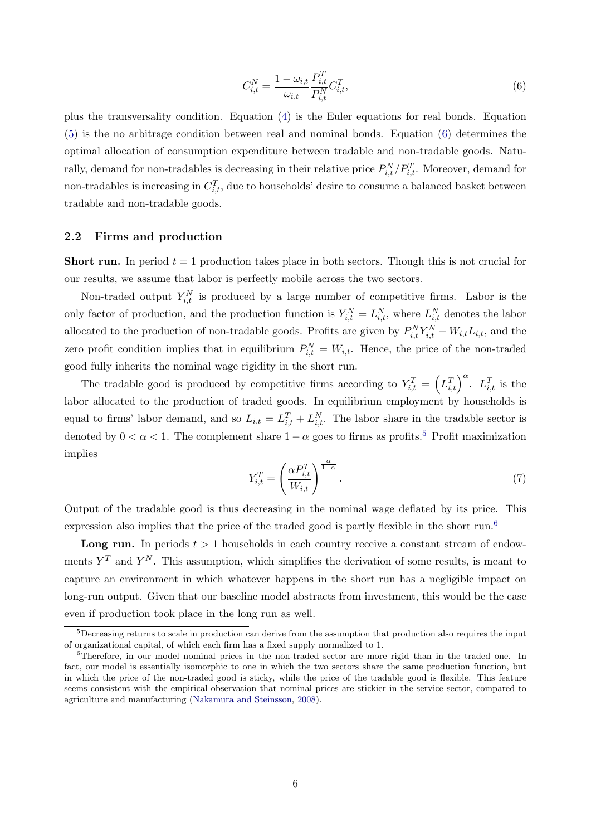<span id="page-6-0"></span>
$$
C_{i,t}^{N} = \frac{1 - \omega_{i,t}}{\omega_{i,t}} \frac{P_{i,t}^{T}}{P_{i,t}^{N}} C_{i,t}^{T},
$$
\n(6)

plus the transversality condition. Equation [\(4\)](#page-5-2) is the Euler equations for real bonds. Equation [\(5\)](#page-5-3) is the no arbitrage condition between real and nominal bonds. Equation [\(6\)](#page-6-0) determines the optimal allocation of consumption expenditure between tradable and non-tradable goods. Naturally, demand for non-tradables is decreasing in their relative price  $P_{i,t}^N/P_{i,t}^T$ . Moreover, demand for non-tradables is increasing in  $C_{i,t}^T$ , due to households' desire to consume a balanced basket between tradable and non-tradable goods.

## 2.2 Firms and production

**Short run.** In period  $t = 1$  production takes place in both sectors. Though this is not crucial for our results, we assume that labor is perfectly mobile across the two sectors.

Non-traded output  $Y_{i,t}^N$  is produced by a large number of competitive firms. Labor is the only factor of production, and the production function is  $Y_{i,t}^N = L_{i,t}^N$ , where  $L_{i,t}^N$  denotes the labor allocated to the production of non-tradable goods. Profits are given by  $P_{i,t}^N Y_{i,t}^N - W_{i,t} L_{i,t}$ , and the zero profit condition implies that in equilibrium  $P_{i,t}^N = W_{i,t}$ . Hence, the price of the non-traded good fully inherits the nominal wage rigidity in the short run.

The tradable good is produced by competitive firms according to  $Y_{i,t}^T = \left(L_{i,t}^T\right)^{\alpha}$ .  $L_{i,t}^T$  is the labor allocated to the production of traded goods. In equilibrium employment by households is equal to firms' labor demand, and so  $L_{i,t} = L_{i,t}^T + L_{i,t}^N$ . The labor share in the tradable sector is denoted by  $0 < \alpha < 1$ . The complement share  $1 - \alpha$  goes to firms as profits.<sup>[5](#page-6-1)</sup> Profit maximization implies

<span id="page-6-3"></span>
$$
Y_{i,t}^T = \left(\frac{\alpha P_{i,t}^T}{W_{i,t}}\right)^{\frac{\alpha}{1-\alpha}}.\tag{7}
$$

Output of the tradable good is thus decreasing in the nominal wage deflated by its price. This expression also implies that the price of the traded good is partly flexible in the short run.<sup>[6](#page-6-2)</sup>

**Long run.** In periods  $t > 1$  households in each country receive a constant stream of endowments  $Y^T$  and  $Y^N$ . This assumption, which simplifies the derivation of some results, is meant to capture an environment in which whatever happens in the short run has a negligible impact on long-run output. Given that our baseline model abstracts from investment, this would be the case even if production took place in the long run as well.

<span id="page-6-1"></span><sup>&</sup>lt;sup>5</sup>Decreasing returns to scale in production can derive from the assumption that production also requires the input of organizational capital, of which each firm has a fixed supply normalized to 1.

<span id="page-6-2"></span><sup>&</sup>lt;sup>6</sup>Therefore, in our model nominal prices in the non-traded sector are more rigid than in the traded one. In fact, our model is essentially isomorphic to one in which the two sectors share the same production function, but in which the price of the non-traded good is sticky, while the price of the tradable good is flexible. This feature seems consistent with the empirical observation that nominal prices are stickier in the service sector, compared to agriculture and manufacturing [\(Nakamura and Steinsson,](#page-23-13) [2008\)](#page-23-13).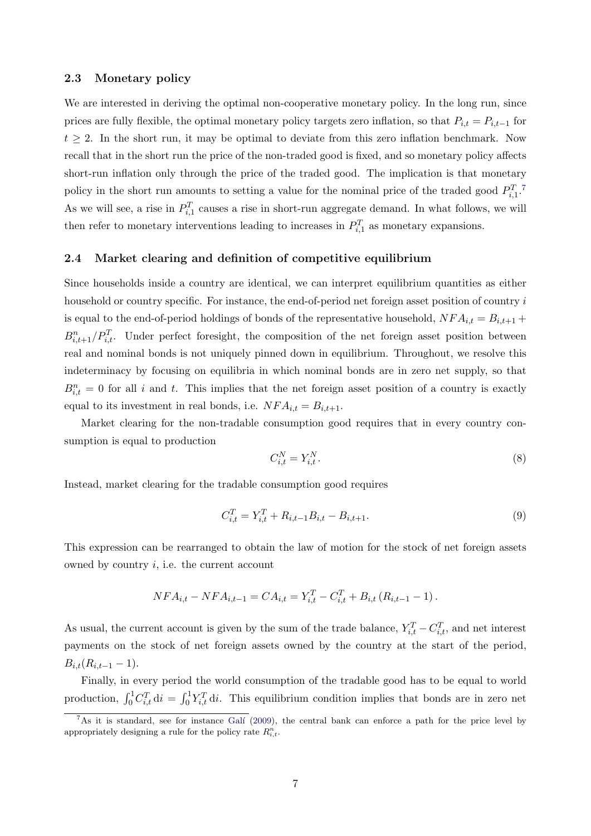## 2.3 Monetary policy

We are interested in deriving the optimal non-cooperative monetary policy. In the long run, since prices are fully flexible, the optimal monetary policy targets zero inflation, so that  $P_{i,t} = P_{i,t-1}$  for  $t \geq 2$ . In the short run, it may be optimal to deviate from this zero inflation benchmark. Now recall that in the short run the price of the non-traded good is fixed, and so monetary policy affects short-run inflation only through the price of the traded good. The implication is that monetary policy in the short run amounts to setting a value for the nominal price of the traded good  $P_{i,1}^T$ . As we will see, a rise in  $P_{i,1}^T$  causes a rise in short-run aggregate demand. In what follows, we will then refer to monetary interventions leading to increases in  $P_{i,1}^T$  as monetary expansions.

## 2.4 Market clearing and definition of competitive equilibrium

Since households inside a country are identical, we can interpret equilibrium quantities as either household or country specific. For instance, the end-of-period net foreign asset position of country i is equal to the end-of-period holdings of bonds of the representative household,  $NFA_{i,t} = B_{i,t+1} +$  $B_{i,t+1}^n/P_{i,t}^T$ . Under perfect foresight, the composition of the net foreign asset position between real and nominal bonds is not uniquely pinned down in equilibrium. Throughout, we resolve this indeterminacy by focusing on equilibria in which nominal bonds are in zero net supply, so that  $B_{i,t}^n = 0$  for all i and t. This implies that the net foreign asset position of a country is exactly equal to its investment in real bonds, i.e.  $NFA_{i,t} = B_{i,t+1}.$ 

Market clearing for the non-tradable consumption good requires that in every country consumption is equal to production

<span id="page-7-1"></span>
$$
C_{i,t}^N = Y_{i,t}^N. \tag{8}
$$

Instead, market clearing for the tradable consumption good requires

<span id="page-7-2"></span>
$$
C_{i,t}^T = Y_{i,t}^T + R_{i,t-1}B_{i,t} - B_{i,t+1}.
$$
\n(9)

This expression can be rearranged to obtain the law of motion for the stock of net foreign assets owned by country  $i$ , i.e. the current account

$$
NFA_{i,t} - NFA_{i,t-1} = CA_{i,t} = Y_{i,t}^T - C_{i,t}^T + B_{i,t} (R_{i,t-1} - 1).
$$

As usual, the current account is given by the sum of the trade balance,  $Y_{i,t}^T - C_{i,t}^T$ , and net interest payments on the stock of net foreign assets owned by the country at the start of the period,  $B_{i,t}(R_{i,t-1}-1).$ 

Finally, in every period the world consumption of the tradable good has to be equal to world production,  $\int_0^1 C_{i,t}^T \, \mathrm{d}i = \int_0^1 Y_{i,t}^T \, \mathrm{d}i$ . This equilibrium condition implies that bonds are in zero net

<span id="page-7-0"></span> $7\text{As it is standard, see for instance } \overline{\text{Gal}'}(2009)$  $7\text{As it is standard, see for instance } \overline{\text{Gal}'}(2009)$ , the central bank can enforce a path for the price level by appropriately designing a rule for the policy rate  $R_{i,t}^n$ .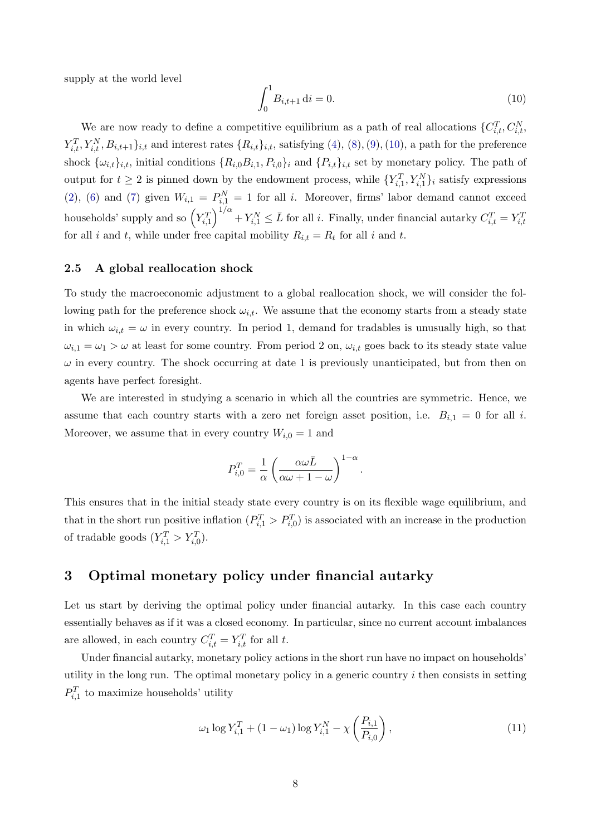supply at the world level

<span id="page-8-0"></span>
$$
\int_0^1 B_{i,t+1} \, \mathrm{d}i = 0. \tag{10}
$$

We are now ready to define a competitive equilibrium as a path of real allocations  $\{C_{i,t}^T, C_{i,t}^N, \ldots, C_{i,t}^N\}$  $Y_{i,t}^T, Y_{i,t}^N, B_{i,t+1}$ ,t and interest rates  $\{R_{i,t}\}_{i,t}$ , satisfying  $(4)$ ,  $(8)$ ,  $(9)$ ,  $(10)$ , a path for the preference shock  $\{\omega_{i,t}\}_{i,t}$ , initial conditions  $\{R_{i,0}B_{i,1}, P_{i,0}\}_i$  and  $\{P_{i,t}\}_{i,t}$  set by monetary policy. The path of output for  $t \geq 2$  is pinned down by the endowment process, while  $\{Y_{i,1}^T, Y_{i,1}^N\}_i$  satisfy expressions [\(2\)](#page-4-1), [\(6\)](#page-6-0) and [\(7\)](#page-6-3) given  $W_{i,1} = P_{i,1}^N = 1$  for all i. Moreover, firms' labor demand cannot exceed households' supply and so  $\left(Y_{i,1}^T\right)^{1/\alpha} + Y_{i,1}^N \leq \bar{L}$  for all *i*. Finally, under financial autarky  $C_{i,t}^T = Y_{i,t}^T$ for all i and t, while under free capital mobility  $R_{i,t} = R_t$  for all i and t.

## 2.5 A global reallocation shock

To study the macroeconomic adjustment to a global reallocation shock, we will consider the following path for the preference shock  $\omega_{i,t}$ . We assume that the economy starts from a steady state in which  $\omega_{i,t} = \omega$  in every country. In period 1, demand for tradables is unusually high, so that  $\omega_{i,1} = \omega_1 > \omega$  at least for some country. From period 2 on,  $\omega_{i,t}$  goes back to its steady state value  $\omega$  in every country. The shock occurring at date 1 is previously unanticipated, but from then on agents have perfect foresight.

We are interested in studying a scenario in which all the countries are symmetric. Hence, we assume that each country starts with a zero net foreign asset position, i.e.  $B_{i,1} = 0$  for all i. Moreover, we assume that in every country  $W_{i,0} = 1$  and

$$
P_{i,0}^T = \frac{1}{\alpha} \left( \frac{\alpha \omega \bar{L}}{\alpha \omega + 1 - \omega} \right)^{1 - \alpha}.
$$

This ensures that in the initial steady state every country is on its flexible wage equilibrium, and that in the short run positive inflation  $(P_{i,1}^T > P_{i,0}^T)$  is associated with an increase in the production of tradable goods  $(Y_{i,1}^T > Y_{i,0}^T)$ .

# <span id="page-8-1"></span>3 Optimal monetary policy under financial autarky

Let us start by deriving the optimal policy under financial autarky. In this case each country essentially behaves as if it was a closed economy. In particular, since no current account imbalances are allowed, in each country  $C_{i,t}^T = Y_{i,t}^T$  for all t.

Under financial autarky, monetary policy actions in the short run have no impact on households' utility in the long run. The optimal monetary policy in a generic country  $i$  then consists in setting  $P_{i,1}^T$  to maximize households' utility

$$
\omega_1 \log Y_{i,1}^T + (1 - \omega_1) \log Y_{i,1}^N - \chi \left( \frac{P_{i,1}}{P_{i,0}} \right),\tag{11}
$$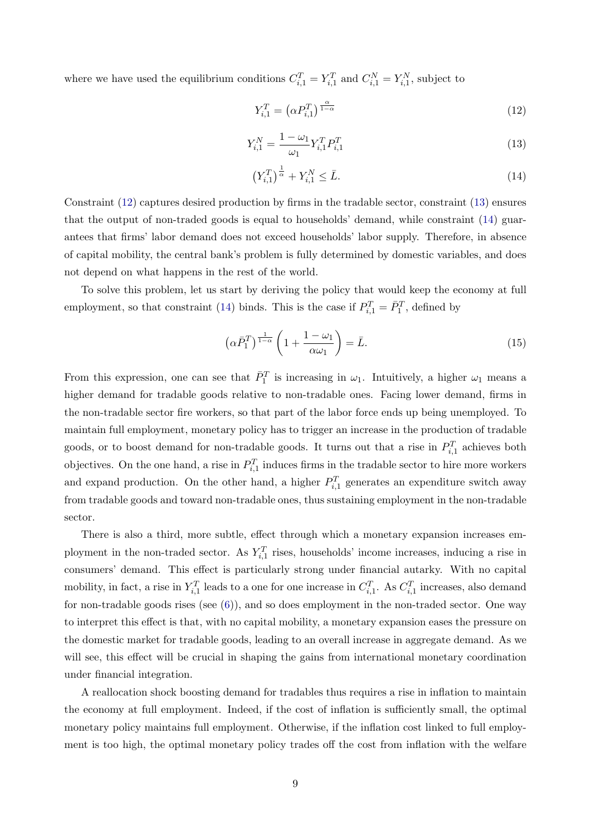where we have used the equilibrium conditions  $C_{i,1}^T = Y_{i,1}^T$  and  $C_{i,1}^N = Y_{i,1}^N$ , subject to

<span id="page-9-0"></span>
$$
Y_{i,1}^T = \left(\alpha P_{i,1}^T\right)^{\frac{\alpha}{1-\alpha}}
$$
\n<sup>(12)</sup>

<span id="page-9-1"></span>
$$
Y_{i,1}^N = \frac{1 - \omega_1}{\omega_1} Y_{i,1}^T P_{i,1}^T
$$
\n(13)

<span id="page-9-2"></span>
$$
\left(Y_{i,1}^T\right)^{\frac{1}{\alpha}} + Y_{i,1}^N \le \bar{L}.\tag{14}
$$

Constraint [\(12\)](#page-9-0) captures desired production by firms in the tradable sector, constraint [\(13\)](#page-9-1) ensures that the output of non-traded goods is equal to households' demand, while constraint [\(14\)](#page-9-2) guarantees that firms' labor demand does not exceed households' labor supply. Therefore, in absence of capital mobility, the central bank's problem is fully determined by domestic variables, and does not depend on what happens in the rest of the world.

To solve this problem, let us start by deriving the policy that would keep the economy at full employment, so that constraint [\(14\)](#page-9-2) binds. This is the case if  $P_{i,1}^T = \overline{P}_1^T$ , defined by

$$
\left(\alpha \bar{P}_1^T\right)^{\frac{1}{1-\alpha}} \left(1 + \frac{1-\omega_1}{\alpha \omega_1}\right) = \bar{L}.\tag{15}
$$

From this expression, one can see that  $\bar{P}_1^T$  is increasing in  $\omega_1$ . Intuitively, a higher  $\omega_1$  means a higher demand for tradable goods relative to non-tradable ones. Facing lower demand, firms in the non-tradable sector fire workers, so that part of the labor force ends up being unemployed. To maintain full employment, monetary policy has to trigger an increase in the production of tradable goods, or to boost demand for non-tradable goods. It turns out that a rise in  $P_{i,1}^T$  achieves both objectives. On the one hand, a rise in  $P_{i,1}^T$  induces firms in the tradable sector to hire more workers and expand production. On the other hand, a higher  $P_{i,1}^T$  generates an expenditure switch away from tradable goods and toward non-tradable ones, thus sustaining employment in the non-tradable sector.

There is also a third, more subtle, effect through which a monetary expansion increases employment in the non-traded sector. As  $Y_{i,1}^T$  rises, households' income increases, inducing a rise in consumers' demand. This effect is particularly strong under financial autarky. With no capital mobility, in fact, a rise in  $Y_{i,1}^T$  leads to a one for one increase in  $C_{i,1}^T$ . As  $C_{i,1}^T$  increases, also demand for non-tradable goods rises (see [\(6\)](#page-6-0)), and so does employment in the non-traded sector. One way to interpret this effect is that, with no capital mobility, a monetary expansion eases the pressure on the domestic market for tradable goods, leading to an overall increase in aggregate demand. As we will see, this effect will be crucial in shaping the gains from international monetary coordination under financial integration.

A reallocation shock boosting demand for tradables thus requires a rise in inflation to maintain the economy at full employment. Indeed, if the cost of inflation is sufficiently small, the optimal monetary policy maintains full employment. Otherwise, if the inflation cost linked to full employment is too high, the optimal monetary policy trades off the cost from inflation with the welfare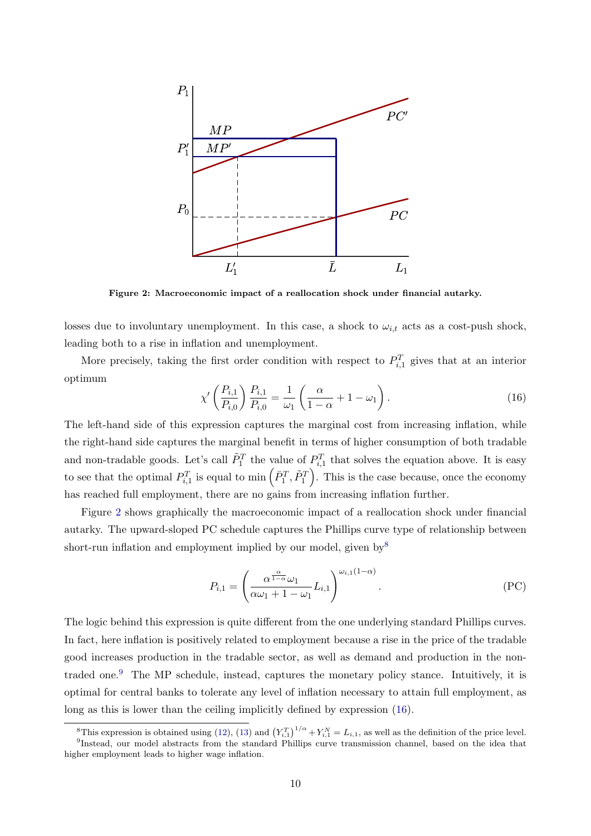

<span id="page-10-0"></span>Figure 2: Macroeconomic impact of a reallocation shock under financial autarky.

losses due to involuntary unemployment. In this case, a shock to  $\omega_{i,t}$  acts as a cost-push shock, leading both to a rise in inflation and unemployment.

More precisely, taking the first order condition with respect to  $P_{i,1}^T$  gives that at an interior optimum

<span id="page-10-3"></span>
$$
\chi' \left( \frac{P_{i,1}}{P_{i,0}} \right) \frac{P_{i,1}}{P_{i,0}} = \frac{1}{\omega_1} \left( \frac{\alpha}{1 - \alpha} + 1 - \omega_1 \right). \tag{16}
$$

The left-hand side of this expression captures the marginal cost from increasing inflation, while the right-hand side captures the marginal benefit in terms of higher consumption of both tradable and non-tradable goods. Let's call  $\tilde{P}_1^T$  the value of  $P_{i,1}^T$  that solves the equation above. It is easy to see that the optimal  $P_{i,1}^T$  is equal to min  $( \bar{P}_1^T, \tilde{P}_1^T )$ . This is the case because, once the economy has reached full employment, there are no gains from increasing inflation further.

Figure [2](#page-10-0) shows graphically the macroeconomic impact of a reallocation shock under financial autarky. The upward-sloped PC schedule captures the Phillips curve type of relationship between short-run inflation and employment implied by our model, given by  $8$ 

$$
P_{i,1} = \left(\frac{\alpha^{\frac{\alpha}{1-\alpha}}\omega_1}{\alpha\omega_1 + 1 - \omega_1}L_{i,1}\right)^{\omega_{i,1}(1-\alpha)}.
$$
 (PC)

The logic behind this expression is quite different from the one underlying standard Phillips curves. In fact, here inflation is positively related to employment because a rise in the price of the tradable good increases production in the tradable sector, as well as demand and production in the non-traded one.<sup>[9](#page-10-2)</sup> The MP schedule, instead, captures the monetary policy stance. Intuitively, it is optimal for central banks to tolerate any level of inflation necessary to attain full employment, as long as this is lower than the ceiling implicitly defined by expression [\(16\)](#page-10-3).

<span id="page-10-2"></span><span id="page-10-1"></span><sup>&</sup>lt;sup>8</sup>This expression is obtained using [\(12\)](#page-9-0), [\(13\)](#page-9-1) and  $(Y_{i,1}^T)^{1/\alpha} + Y_{i,1}^N = L_{i,1}$ , as well as the definition of the price level. 9 Instead, our model abstracts from the standard Phillips curve transmission channel, based on the idea that higher employment leads to higher wage inflation.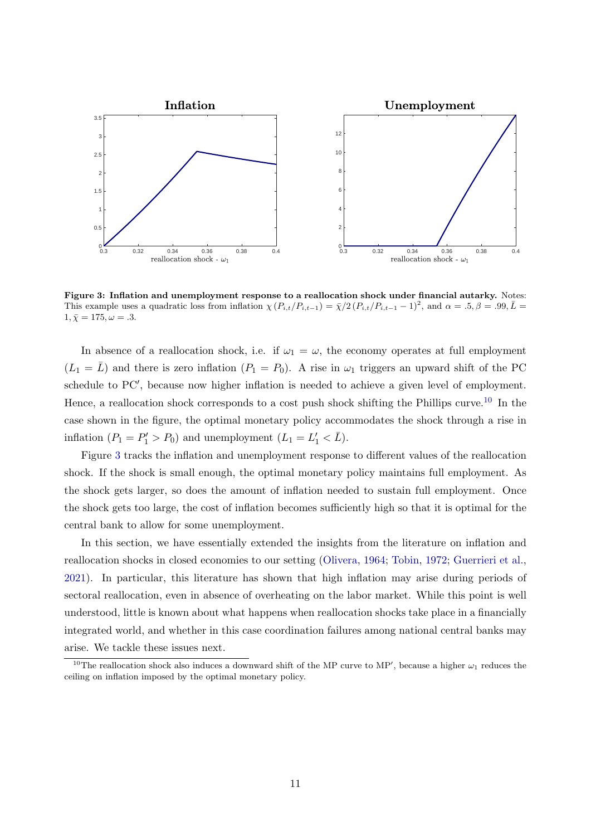<span id="page-11-1"></span>

Figure 3: Inflation and unemployment response to a reallocation shock under financial autarky. Notes: This example uses a quadratic loss from inflation  $\chi(P_{i,t}/P_{i,t-1}) = \bar{\chi}/2 (P_{i,t}/P_{i,t-1} - 1)^2$ , and  $\alpha = .5, \beta = .99, \bar{L} = .7$  $1, \bar{X} = 175, \omega = .3.$ 

In absence of a reallocation shock, i.e. if  $\omega_1 = \omega$ , the economy operates at full employment  $(L_1 = \overline{L})$  and there is zero inflation  $(P_1 = P_0)$ . A rise in  $\omega_1$  triggers an upward shift of the PC schedule to PC', because now higher inflation is needed to achieve a given level of employment. Hence, a reallocation shock corresponds to a cost push shock shifting the Phillips curve.<sup>[10](#page-11-0)</sup> In the case shown in the figure, the optimal monetary policy accommodates the shock through a rise in inflation  $(P_1 = P'_1 > P_0)$  and unemployment  $(L_1 = L'_1 < \overline{L})$ .

Figure [3](#page-11-1) tracks the inflation and unemployment response to different values of the reallocation shock. If the shock is small enough, the optimal monetary policy maintains full employment. As the shock gets larger, so does the amount of inflation needed to sustain full employment. Once the shock gets too large, the cost of inflation becomes sufficiently high so that it is optimal for the central bank to allow for some unemployment.

In this section, we have essentially extended the insights from the literature on inflation and reallocation shocks in closed economies to our setting [\(Olivera,](#page-23-0) [1964;](#page-23-0) [Tobin,](#page-23-1) [1972;](#page-23-1) [Guerrieri et al.,](#page-23-2) [2021\)](#page-23-2). In particular, this literature has shown that high inflation may arise during periods of sectoral reallocation, even in absence of overheating on the labor market. While this point is well understood, little is known about what happens when reallocation shocks take place in a financially integrated world, and whether in this case coordination failures among national central banks may arise. We tackle these issues next.

<span id="page-11-0"></span><sup>&</sup>lt;sup>10</sup>The reallocation shock also induces a downward shift of the MP curve to MP', because a higher  $\omega_1$  reduces the ceiling on inflation imposed by the optimal monetary policy.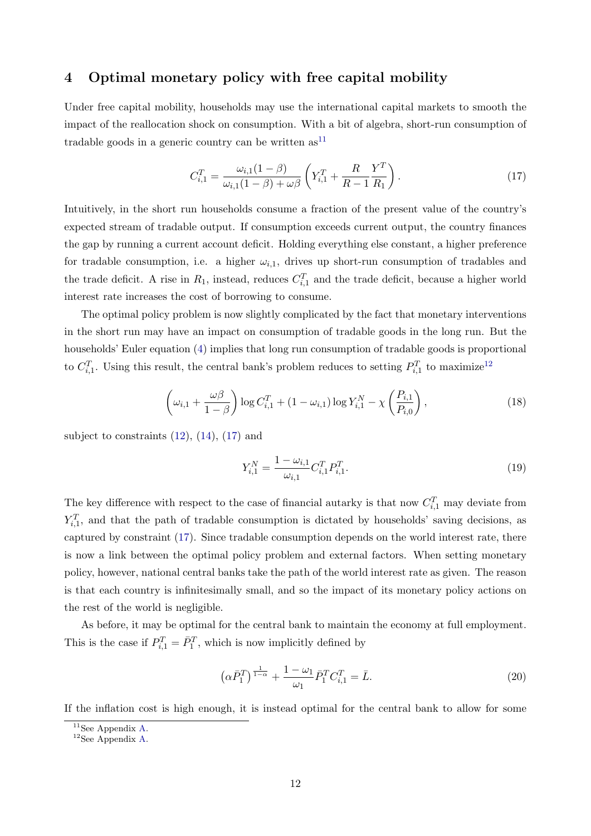# <span id="page-12-5"></span>4 Optimal monetary policy with free capital mobility

Under free capital mobility, households may use the international capital markets to smooth the impact of the reallocation shock on consumption. With a bit of algebra, short-run consumption of tradable goods in a generic country can be written  $as<sup>11</sup>$  $as<sup>11</sup>$  $as<sup>11</sup>$ 

<span id="page-12-2"></span>
$$
C_{i,1}^T = \frac{\omega_{i,1}(1-\beta)}{\omega_{i,1}(1-\beta) + \omega\beta} \left(Y_{i,1}^T + \frac{R}{R-1}\frac{Y^T}{R_1}\right).
$$
 (17)

Intuitively, in the short run households consume a fraction of the present value of the country's expected stream of tradable output. If consumption exceeds current output, the country finances the gap by running a current account deficit. Holding everything else constant, a higher preference for tradable consumption, i.e. a higher  $\omega_{i,1}$ , drives up short-run consumption of tradables and the trade deficit. A rise in  $R_1$ , instead, reduces  $C_{i,1}^T$  and the trade deficit, because a higher world interest rate increases the cost of borrowing to consume.

The optimal policy problem is now slightly complicated by the fact that monetary interventions in the short run may have an impact on consumption of tradable goods in the long run. But the households' Euler equation [\(4\)](#page-5-2) implies that long run consumption of tradable goods is proportional to  $C_{i,1}^T$ . Using this result, the central bank's problem reduces to setting  $P_{i,1}^T$  to maximize<sup>[12](#page-12-1)</sup>

<span id="page-12-6"></span>
$$
\left(\omega_{i,1} + \frac{\omega\beta}{1-\beta}\right) \log C_{i,1}^T + (1-\omega_{i,1}) \log Y_{i,1}^N - \chi\left(\frac{P_{i,1}}{P_{i,0}}\right),\tag{18}
$$

subject to constraints  $(12)$ ,  $(14)$ ,  $(17)$  and

<span id="page-12-4"></span>
$$
Y_{i,1}^N = \frac{1 - \omega_{i,1}}{\omega_{i,1}} C_{i,1}^T P_{i,1}^T.
$$
\n(19)

The key difference with respect to the case of financial autarky is that now  $C_{i,1}^T$  may deviate from  $Y_{i,1}^T$ , and that the path of tradable consumption is dictated by households' saving decisions, as captured by constraint [\(17\)](#page-12-2). Since tradable consumption depends on the world interest rate, there is now a link between the optimal policy problem and external factors. When setting monetary policy, however, national central banks take the path of the world interest rate as given. The reason is that each country is infinitesimally small, and so the impact of its monetary policy actions on the rest of the world is negligible.

As before, it may be optimal for the central bank to maintain the economy at full employment. This is the case if  $P_{i,1}^T = \overline{P}_1^T$ , which is now implicitly defined by

<span id="page-12-3"></span>
$$
\left(\alpha \bar{P}_1^T\right)^{\frac{1}{1-\alpha}} + \frac{1-\omega_1}{\omega_1} \bar{P}_1^T C_{i,1}^T = \bar{L}.\tag{20}
$$

If the inflation cost is high enough, it is instead optimal for the central bank to allow for some

<span id="page-12-0"></span> $11$ See Appendix [A.](#page-22-4)

<span id="page-12-1"></span> $12$ See Appendix [A.](#page-22-4)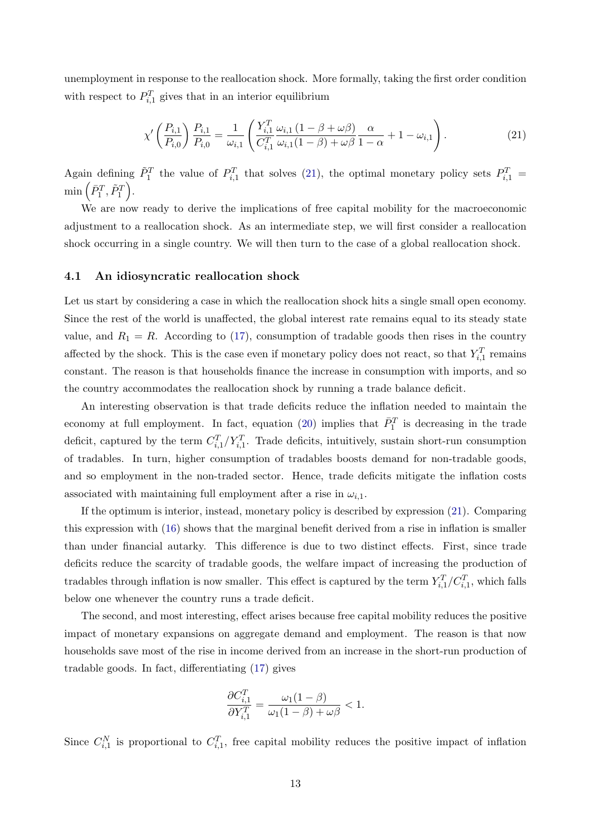unemployment in response to the reallocation shock. More formally, taking the first order condition with respect to  $P_{i,1}^T$  gives that in an interior equilibrium

<span id="page-13-0"></span>
$$
\chi' \left( \frac{P_{i,1}}{P_{i,0}} \right) \frac{P_{i,1}}{P_{i,0}} = \frac{1}{\omega_{i,1}} \left( \frac{Y_{i,1}^T \omega_{i,1} (1 - \beta + \omega \beta)}{C_{i,1}^T \omega_{i,1} (1 - \beta) + \omega \beta} \frac{\alpha}{1 - \alpha} + 1 - \omega_{i,1} \right). \tag{21}
$$

Again defining  $\tilde{P}_1^T$  the value of  $P_{i,1}^T$  that solves [\(21\)](#page-13-0), the optimal monetary policy sets  $P_{i,1}^T$  =  $\min\left( \bar{P}_1^T, \tilde{P}_1^T \right)$ .

We are now ready to derive the implications of free capital mobility for the macroeconomic adjustment to a reallocation shock. As an intermediate step, we will first consider a reallocation shock occurring in a single country. We will then turn to the case of a global reallocation shock.

## 4.1 An idiosyncratic reallocation shock

Let us start by considering a case in which the reallocation shock hits a single small open economy. Since the rest of the world is unaffected, the global interest rate remains equal to its steady state value, and  $R_1 = R$ . According to [\(17\)](#page-12-2), consumption of tradable goods then rises in the country affected by the shock. This is the case even if monetary policy does not react, so that  $Y_{i,1}^T$  remains constant. The reason is that households finance the increase in consumption with imports, and so the country accommodates the reallocation shock by running a trade balance deficit.

An interesting observation is that trade deficits reduce the inflation needed to maintain the economy at full employment. In fact, equation [\(20\)](#page-12-3) implies that  $\bar{P}_1^T$  is decreasing in the trade deficit, captured by the term  $C_{i,1}^T/Y_{i,1}^T$ . Trade deficits, intuitively, sustain short-run consumption of tradables. In turn, higher consumption of tradables boosts demand for non-tradable goods, and so employment in the non-traded sector. Hence, trade deficits mitigate the inflation costs associated with maintaining full employment after a rise in  $\omega_{i,1}$ .

If the optimum is interior, instead, monetary policy is described by expression [\(21\)](#page-13-0). Comparing this expression with [\(16\)](#page-10-3) shows that the marginal benefit derived from a rise in inflation is smaller than under financial autarky. This difference is due to two distinct effects. First, since trade deficits reduce the scarcity of tradable goods, the welfare impact of increasing the production of tradables through inflation is now smaller. This effect is captured by the term  $Y_{i,1}^T/C_{i,1}^T$ , which falls below one whenever the country runs a trade deficit.

The second, and most interesting, effect arises because free capital mobility reduces the positive impact of monetary expansions on aggregate demand and employment. The reason is that now households save most of the rise in income derived from an increase in the short-run production of tradable goods. In fact, differentiating [\(17\)](#page-12-2) gives

$$
\frac{\partial C_{i,1}^T}{\partial Y_{i,1}^T} = \frac{\omega_1(1-\beta)}{\omega_1(1-\beta) + \omega\beta} < 1.
$$

Since  $C_{i,1}^N$  is proportional to  $C_{i,1}^T$ , free capital mobility reduces the positive impact of inflation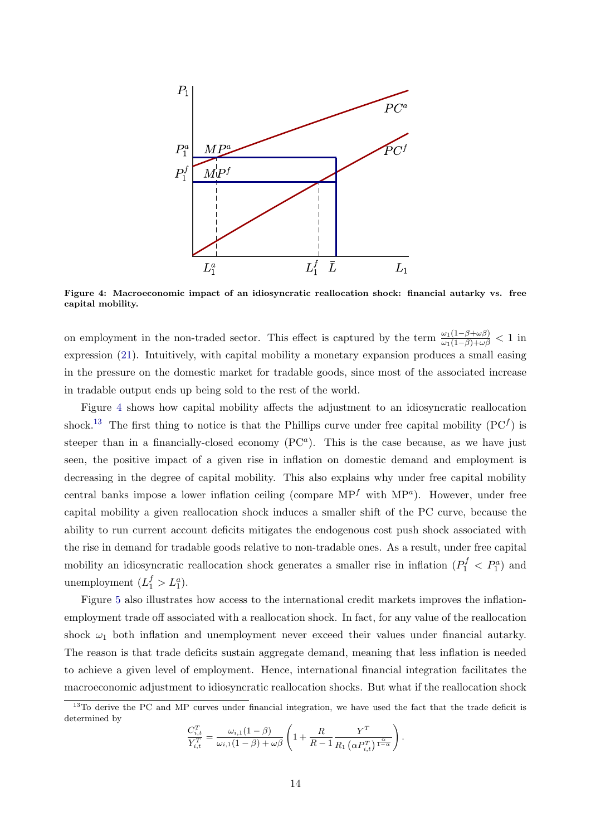<span id="page-14-0"></span>

Figure 4: Macroeconomic impact of an idiosyncratic reallocation shock: financial autarky vs. free capital mobility.

on employment in the non-traded sector. This effect is captured by the term  $\frac{\omega_1(1-\beta+\omega\beta)}{\omega_1(1-\beta)+\omega\beta} < 1$  in expression [\(21\)](#page-13-0). Intuitively, with capital mobility a monetary expansion produces a small easing in the pressure on the domestic market for tradable goods, since most of the associated increase in tradable output ends up being sold to the rest of the world.

Figure [4](#page-14-0) shows how capital mobility affects the adjustment to an idiosyncratic reallocation shock.<sup>[13](#page-14-1)</sup> The first thing to notice is that the Phillips curve under free capital mobility ( $PC<sup>f</sup>$ ) is steeper than in a financially-closed economy  $(PC<sup>a</sup>)$ . This is the case because, as we have just seen, the positive impact of a given rise in inflation on domestic demand and employment is decreasing in the degree of capital mobility. This also explains why under free capital mobility central banks impose a lower inflation ceiling (compare  $MP<sup>f</sup>$  with  $MP<sup>a</sup>$ ). However, under free capital mobility a given reallocation shock induces a smaller shift of the PC curve, because the ability to run current account deficits mitigates the endogenous cost push shock associated with the rise in demand for tradable goods relative to non-tradable ones. As a result, under free capital mobility an idiosyncratic reallocation shock generates a smaller rise in inflation  $(P_1^f < P_1^a)$  and unemployment  $(L_1^f > L_1^a)$ .

Figure [5](#page-15-0) also illustrates how access to the international credit markets improves the inflationemployment trade off associated with a reallocation shock. In fact, for any value of the reallocation shock  $\omega_1$  both inflation and unemployment never exceed their values under financial autarky. The reason is that trade deficits sustain aggregate demand, meaning that less inflation is needed to achieve a given level of employment. Hence, international financial integration facilitates the macroeconomic adjustment to idiosyncratic reallocation shocks. But what if the reallocation shock

$$
\frac{C_{i,t}^T}{Y_{i,t}^T} = \frac{\omega_{i,1}(1-\beta)}{\omega_{i,1}(1-\beta)+\omega\beta} \left(1+\frac{R}{R-1}\frac{Y^T}{R_1\left(\alpha P_{i,t}^T\right)^{\frac{\alpha}{1-\alpha}}}\right).
$$

<span id="page-14-1"></span><sup>&</sup>lt;sup>13</sup>To derive the PC and MP curves under financial integration, we have used the fact that the trade deficit is determined by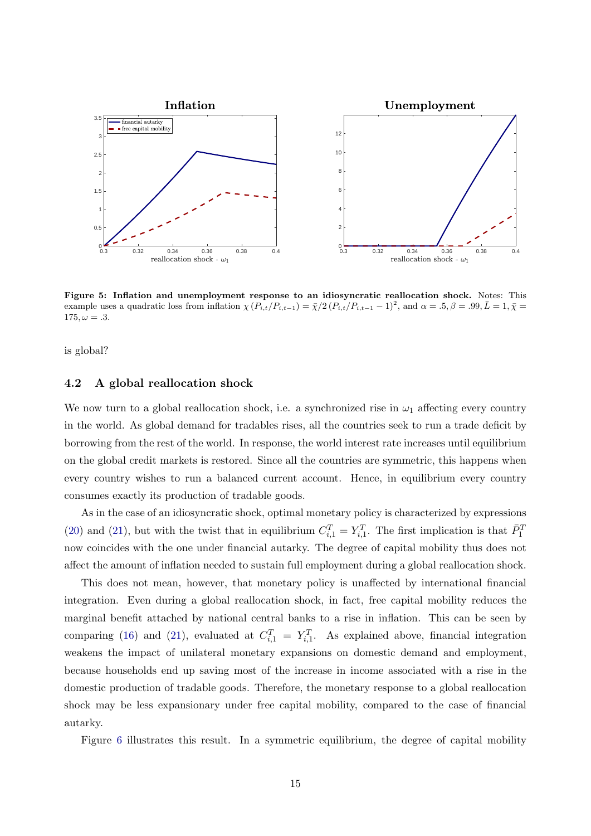<span id="page-15-0"></span>

Figure 5: Inflation and unemployment response to an idiosyncratic reallocation shock. Notes: This example uses a quadratic loss from inflation  $\chi (P_{i,t}/P_{i,t-1}) = \bar{\chi}/2 (P_{i,t}/P_{i,t-1} - 1)^2$ , and  $\alpha = .5, \beta = .99, \bar{L} = 1, \bar{\chi} =$  $175, \omega = .3.$ 

is global?

#### 4.2 A global reallocation shock

We now turn to a global reallocation shock, i.e. a synchronized rise in  $\omega_1$  affecting every country in the world. As global demand for tradables rises, all the countries seek to run a trade deficit by borrowing from the rest of the world. In response, the world interest rate increases until equilibrium on the global credit markets is restored. Since all the countries are symmetric, this happens when every country wishes to run a balanced current account. Hence, in equilibrium every country consumes exactly its production of tradable goods.

As in the case of an idiosyncratic shock, optimal monetary policy is characterized by expressions [\(20\)](#page-12-3) and [\(21\)](#page-13-0), but with the twist that in equilibrium  $C_{i,1}^T = Y_{i,1}^T$ . The first implication is that  $\bar{P}_1^T$ now coincides with the one under financial autarky. The degree of capital mobility thus does not affect the amount of inflation needed to sustain full employment during a global reallocation shock.

This does not mean, however, that monetary policy is unaffected by international financial integration. Even during a global reallocation shock, in fact, free capital mobility reduces the marginal benefit attached by national central banks to a rise in inflation. This can be seen by comparing [\(16\)](#page-10-3) and [\(21\)](#page-13-0), evaluated at  $C_{i,1}^T = Y_{i,1}^T$ . As explained above, financial integration weakens the impact of unilateral monetary expansions on domestic demand and employment, because households end up saving most of the increase in income associated with a rise in the domestic production of tradable goods. Therefore, the monetary response to a global reallocation shock may be less expansionary under free capital mobility, compared to the case of financial autarky.

Figure [6](#page-16-0) illustrates this result. In a symmetric equilibrium, the degree of capital mobility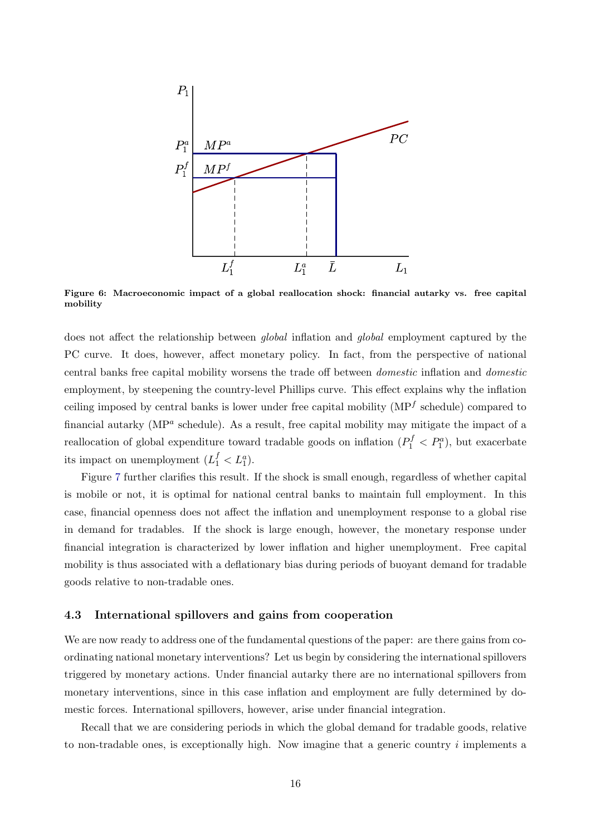

<span id="page-16-0"></span>Figure 6: Macroeconomic impact of a global reallocation shock: financial autarky vs. free capital mobility

does not affect the relationship between *global* inflation and *global* employment captured by the PC curve. It does, however, affect monetary policy. In fact, from the perspective of national central banks free capital mobility worsens the trade off between domestic inflation and domestic employment, by steepening the country-level Phillips curve. This effect explains why the inflation ceiling imposed by central banks is lower under free capital mobility ( $MP<sup>f</sup>$  schedule) compared to financial autarky (MP<sup>a</sup> schedule). As a result, free capital mobility may mitigate the impact of a reallocation of global expenditure toward tradable goods on inflation  $(P_1^f < P_1^a)$ , but exacerbate its impact on unemployment  $(L_1^f < L_1^a)$ .

Figure [7](#page-17-0) further clarifies this result. If the shock is small enough, regardless of whether capital is mobile or not, it is optimal for national central banks to maintain full employment. In this case, financial openness does not affect the inflation and unemployment response to a global rise in demand for tradables. If the shock is large enough, however, the monetary response under financial integration is characterized by lower inflation and higher unemployment. Free capital mobility is thus associated with a deflationary bias during periods of buoyant demand for tradable goods relative to non-tradable ones.

#### 4.3 International spillovers and gains from cooperation

We are now ready to address one of the fundamental questions of the paper: are there gains from coordinating national monetary interventions? Let us begin by considering the international spillovers triggered by monetary actions. Under financial autarky there are no international spillovers from monetary interventions, since in this case inflation and employment are fully determined by domestic forces. International spillovers, however, arise under financial integration.

Recall that we are considering periods in which the global demand for tradable goods, relative to non-tradable ones, is exceptionally high. Now imagine that a generic country  $i$  implements a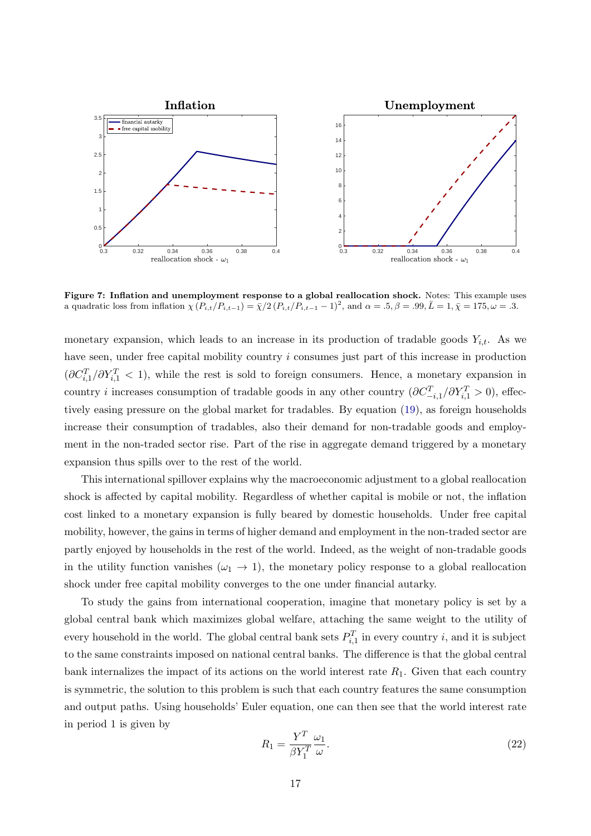<span id="page-17-0"></span>

Figure 7: Inflation and unemployment response to a global reallocation shock. Notes: This example uses a quadratic loss from inflation  $\chi(P_{i,t}/P_{i,t-1}) = \bar{\chi}/2 (P_{i,t}/P_{i,t-1} - 1)^2$ , and  $\alpha = .5, \beta = .99, \bar{L} = 1, \bar{\chi} = 175, \omega = .3$ .

monetary expansion, which leads to an increase in its production of tradable goods  $Y_{i,t}$ . As we have seen, under free capital mobility country i consumes just part of this increase in production  $(\partial C_{i,1}^T/\partial Y_{i,1}^T < 1)$ , while the rest is sold to foreign consumers. Hence, a monetary expansion in country *i* increases consumption of tradable goods in any other country  $(\partial C_{-i,1}^T / \partial Y_{i,1}^T > 0)$ , effectively easing pressure on the global market for tradables. By equation [\(19\)](#page-12-4), as foreign households increase their consumption of tradables, also their demand for non-tradable goods and employment in the non-traded sector rise. Part of the rise in aggregate demand triggered by a monetary expansion thus spills over to the rest of the world.

This international spillover explains why the macroeconomic adjustment to a global reallocation shock is affected by capital mobility. Regardless of whether capital is mobile or not, the inflation cost linked to a monetary expansion is fully beared by domestic households. Under free capital mobility, however, the gains in terms of higher demand and employment in the non-traded sector are partly enjoyed by households in the rest of the world. Indeed, as the weight of non-tradable goods in the utility function vanishes  $(\omega_1 \rightarrow 1)$ , the monetary policy response to a global reallocation shock under free capital mobility converges to the one under financial autarky.

To study the gains from international cooperation, imagine that monetary policy is set by a global central bank which maximizes global welfare, attaching the same weight to the utility of every household in the world. The global central bank sets  $P_{i,1}^T$  in every country i, and it is subject to the same constraints imposed on national central banks. The difference is that the global central bank internalizes the impact of its actions on the world interest rate  $R_1$ . Given that each country is symmetric, the solution to this problem is such that each country features the same consumption and output paths. Using households' Euler equation, one can then see that the world interest rate in period 1 is given by

<span id="page-17-1"></span>
$$
R_1 = \frac{Y^T}{\beta Y_1^T} \frac{\omega_1}{\omega}.
$$
\n(22)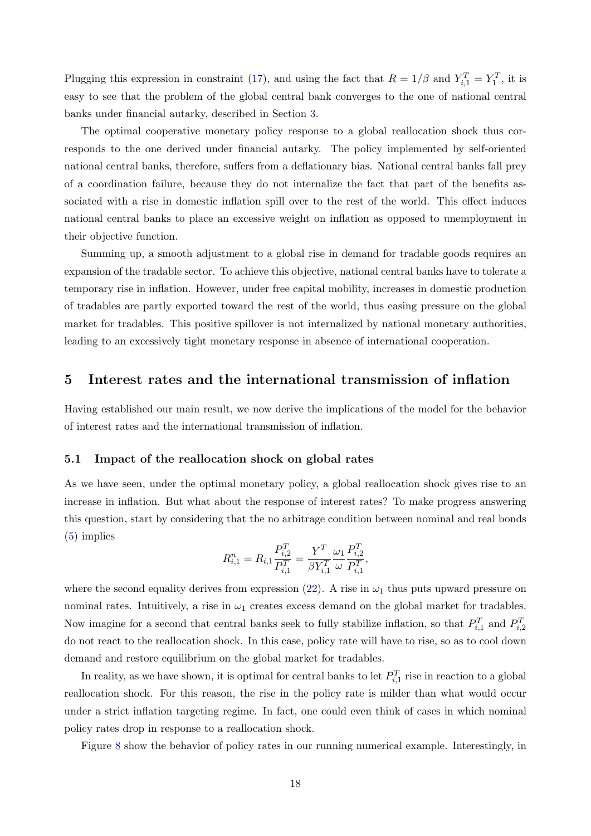Plugging this expression in constraint [\(17\)](#page-12-2), and using the fact that  $R = 1/\beta$  and  $Y_{i,1}^T = Y_1^T$ , it is easy to see that the problem of the global central bank converges to the one of national central banks under financial autarky, described in Section [3.](#page-8-1)

The optimal cooperative monetary policy response to a global reallocation shock thus corresponds to the one derived under financial autarky. The policy implemented by self-oriented national central banks, therefore, suffers from a deflationary bias. National central banks fall prey of a coordination failure, because they do not internalize the fact that part of the benefits associated with a rise in domestic inflation spill over to the rest of the world. This effect induces national central banks to place an excessive weight on inflation as opposed to unemployment in their objective function.

Summing up, a smooth adjustment to a global rise in demand for tradable goods requires an expansion of the tradable sector. To achieve this objective, national central banks have to tolerate a temporary rise in inflation. However, under free capital mobility, increases in domestic production of tradables are partly exported toward the rest of the world, thus easing pressure on the global market for tradables. This positive spillover is not internalized by national monetary authorities, leading to an excessively tight monetary response in absence of international cooperation.

## 5 Interest rates and the international transmission of inflation

Having established our main result, we now derive the implications of the model for the behavior of interest rates and the international transmission of inflation.

#### 5.1 Impact of the reallocation shock on global rates

As we have seen, under the optimal monetary policy, a global reallocation shock gives rise to an increase in inflation. But what about the response of interest rates? To make progress answering this question, start by considering that the no arbitrage condition between nominal and real bonds [\(5\)](#page-5-3) implies

$$
R_{i,1}^{n} = R_{i,1} \frac{P_{i,2}^{T}}{P_{i,1}^{T}} = \frac{Y^{T}}{\beta Y_{i,1}^{T}} \frac{\omega_1}{\omega} \frac{P_{i,2}^{T}}{P_{i,1}^{T}},
$$

where the second equality derives from expression [\(22\)](#page-17-1). A rise in  $\omega_1$  thus puts upward pressure on nominal rates. Intuitively, a rise in  $\omega_1$  creates excess demand on the global market for tradables. Now imagine for a second that central banks seek to fully stabilize inflation, so that  $P_{i,1}^T$  and  $P_{i,2}^T$ do not react to the reallocation shock. In this case, policy rate will have to rise, so as to cool down demand and restore equilibrium on the global market for tradables.

In reality, as we have shown, it is optimal for central banks to let  $P_{i,1}^T$  rise in reaction to a global reallocation shock. For this reason, the rise in the policy rate is milder than what would occur under a strict inflation targeting regime. In fact, one could even think of cases in which nominal policy rates drop in response to a reallocation shock.

Figure [8](#page-19-0) show the behavior of policy rates in our running numerical example. Interestingly, in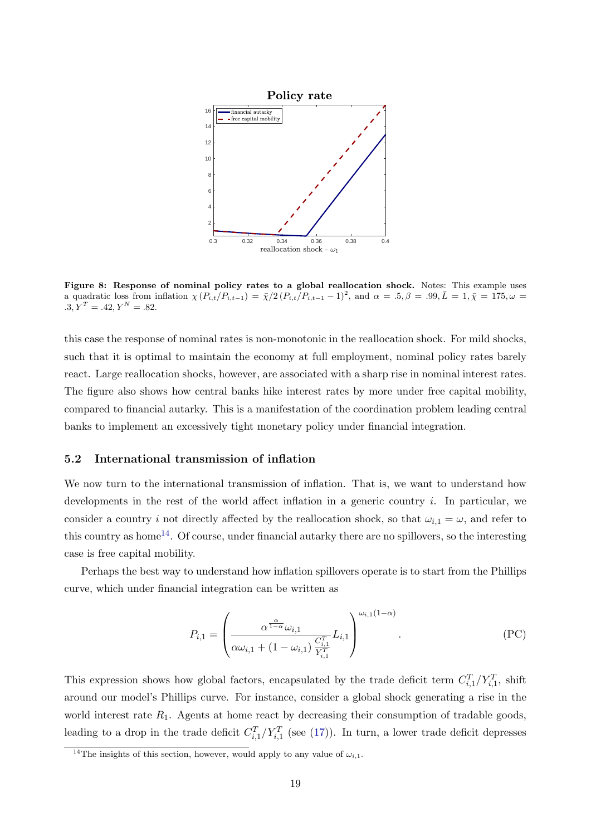<span id="page-19-0"></span>

Figure 8: Response of nominal policy rates to a global reallocation shock. Notes: This example uses a quadratic loss from inflation  $\chi(P_{i,t}/P_{i,t-1}) = \bar{\chi}/2 (P_{i,t}/P_{i,t-1} - 1)^2$ , and  $\alpha = .5, \beta = .99, \bar{L} = 1, \bar{\chi} = 175, \omega =$  $.3, Y^T = .42, Y^N = .82.$ 

this case the response of nominal rates is non-monotonic in the reallocation shock. For mild shocks, such that it is optimal to maintain the economy at full employment, nominal policy rates barely react. Large reallocation shocks, however, are associated with a sharp rise in nominal interest rates. The figure also shows how central banks hike interest rates by more under free capital mobility, compared to financial autarky. This is a manifestation of the coordination problem leading central banks to implement an excessively tight monetary policy under financial integration.

## 5.2 International transmission of inflation

We now turn to the international transmission of inflation. That is, we want to understand how developments in the rest of the world affect inflation in a generic country i. In particular, we consider a country i not directly affected by the reallocation shock, so that  $\omega_{i,1} = \omega$ , and refer to this country as home<sup>[14](#page-19-1)</sup>. Of course, under financial autarky there are no spillovers, so the interesting case is free capital mobility.

Perhaps the best way to understand how inflation spillovers operate is to start from the Phillips curve, which under financial integration can be written as

$$
P_{i,1} = \left(\frac{\alpha^{\frac{\alpha}{1-\alpha}}\omega_{i,1}}{\alpha\omega_{i,1} + (1-\omega_{i,1})\frac{C_{i,1}^T}{Y_{i,1}^T}}L_{i,1}\right)^{\omega_{i,1}(1-\alpha)}.
$$
\n(PC)

This expression shows how global factors, encapsulated by the trade deficit term  $C_{i,1}^T/Y_{i,1}^T$ , shift around our model's Phillips curve. For instance, consider a global shock generating a rise in the world interest rate  $R_1$ . Agents at home react by decreasing their consumption of tradable goods, leading to a drop in the trade deficit  $C_{i,1}^T/Y_{i,1}^T$  (see [\(17\)](#page-12-2)). In turn, a lower trade deficit depresses

<span id="page-19-1"></span><sup>&</sup>lt;sup>14</sup>The insights of this section, however, would apply to any value of  $\omega_{i,1}$ .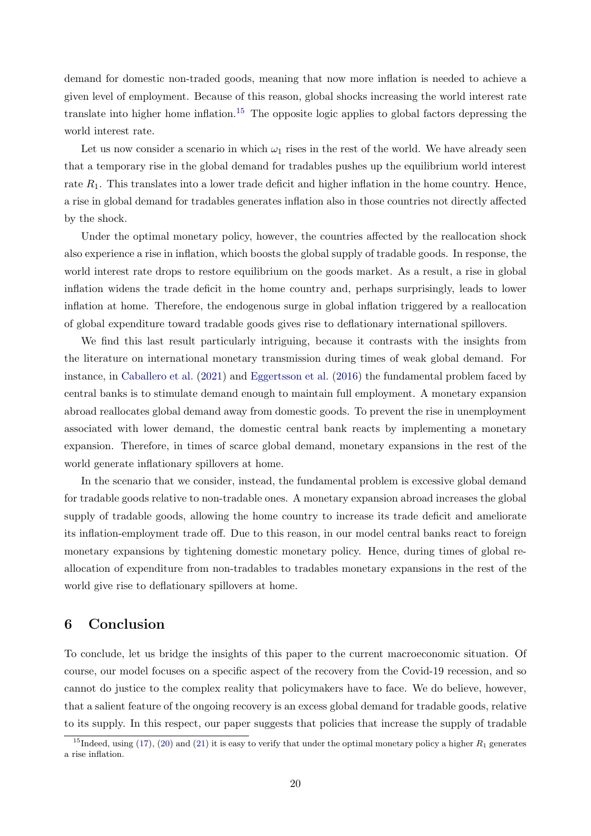demand for domestic non-traded goods, meaning that now more inflation is needed to achieve a given level of employment. Because of this reason, global shocks increasing the world interest rate translate into higher home inflation.<sup>[15](#page-20-0)</sup> The opposite logic applies to global factors depressing the world interest rate.

Let us now consider a scenario in which  $\omega_1$  rises in the rest of the world. We have already seen that a temporary rise in the global demand for tradables pushes up the equilibrium world interest rate  $R_1$ . This translates into a lower trade deficit and higher inflation in the home country. Hence, a rise in global demand for tradables generates inflation also in those countries not directly affected by the shock.

Under the optimal monetary policy, however, the countries affected by the reallocation shock also experience a rise in inflation, which boosts the global supply of tradable goods. In response, the world interest rate drops to restore equilibrium on the goods market. As a result, a rise in global inflation widens the trade deficit in the home country and, perhaps surprisingly, leads to lower inflation at home. Therefore, the endogenous surge in global inflation triggered by a reallocation of global expenditure toward tradable goods gives rise to deflationary international spillovers.

We find this last result particularly intriguing, because it contrasts with the insights from the literature on international monetary transmission during times of weak global demand. For instance, in [Caballero et al.](#page-23-8) [\(2021\)](#page-23-8) and [Eggertsson et al.](#page-23-9) [\(2016\)](#page-23-9) the fundamental problem faced by central banks is to stimulate demand enough to maintain full employment. A monetary expansion abroad reallocates global demand away from domestic goods. To prevent the rise in unemployment associated with lower demand, the domestic central bank reacts by implementing a monetary expansion. Therefore, in times of scarce global demand, monetary expansions in the rest of the world generate inflationary spillovers at home.

In the scenario that we consider, instead, the fundamental problem is excessive global demand for tradable goods relative to non-tradable ones. A monetary expansion abroad increases the global supply of tradable goods, allowing the home country to increase its trade deficit and ameliorate its inflation-employment trade off. Due to this reason, in our model central banks react to foreign monetary expansions by tightening domestic monetary policy. Hence, during times of global reallocation of expenditure from non-tradables to tradables monetary expansions in the rest of the world give rise to deflationary spillovers at home.

# 6 Conclusion

To conclude, let us bridge the insights of this paper to the current macroeconomic situation. Of course, our model focuses on a specific aspect of the recovery from the Covid-19 recession, and so cannot do justice to the complex reality that policymakers have to face. We do believe, however, that a salient feature of the ongoing recovery is an excess global demand for tradable goods, relative to its supply. In this respect, our paper suggests that policies that increase the supply of tradable

<span id="page-20-0"></span><sup>&</sup>lt;sup>15</sup>Indeed, using [\(17\)](#page-12-2), [\(20\)](#page-12-3) and [\(21\)](#page-13-0) it is easy to verify that under the optimal monetary policy a higher  $R_1$  generates a rise inflation.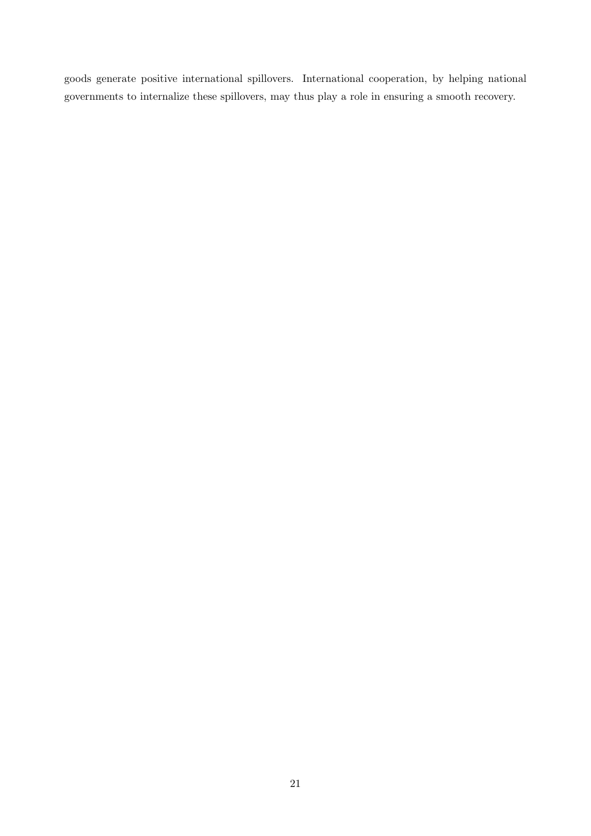goods generate positive international spillovers. International cooperation, by helping national governments to internalize these spillovers, may thus play a role in ensuring a smooth recovery.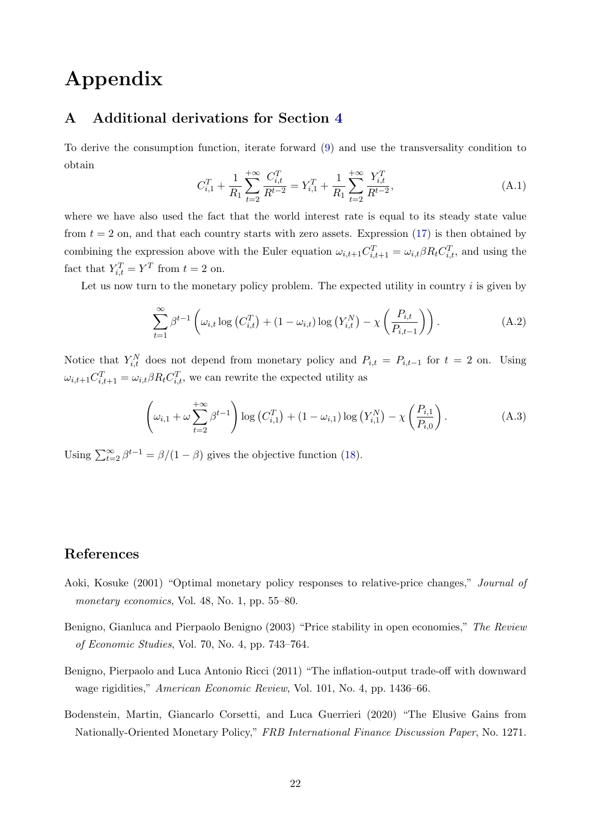# Appendix

# <span id="page-22-4"></span>A Additional derivations for Section [4](#page-12-5)

To derive the consumption function, iterate forward [\(9\)](#page-7-2) and use the transversality condition to obtain

$$
C_{i,1}^T + \frac{1}{R_1} \sum_{t=2}^{+\infty} \frac{C_{i,t}^T}{R^{t-2}} = Y_{i,1}^T + \frac{1}{R_1} \sum_{t=2}^{+\infty} \frac{Y_{i,t}^T}{R^{t-2}},
$$
\n(A.1)

where we have also used the fact that the world interest rate is equal to its steady state value from  $t = 2$  on, and that each country starts with zero assets. Expression [\(17\)](#page-12-2) is then obtained by combining the expression above with the Euler equation  $\omega_{i,t+1} C_{i,t+1}^T = \omega_{i,t} \beta R_t C_{i,t}^T$ , and using the fact that  $Y_{i,t}^T = Y^T$  from  $t = 2$  on.

Let us now turn to the monetary policy problem. The expected utility in country  $i$  is given by

$$
\sum_{t=1}^{\infty} \beta^{t-1} \left( \omega_{i,t} \log \left( C_{i,t}^T \right) + (1 - \omega_{i,t}) \log \left( Y_{i,t}^N \right) - \chi \left( \frac{P_{i,t}}{P_{i,t-1}} \right) \right). \tag{A.2}
$$

Notice that  $Y_{i,t}^N$  does not depend from monetary policy and  $P_{i,t} = P_{i,t-1}$  for  $t = 2$  on. Using  $\omega_{i,t+1} C_{i,t+1}^T = \omega_{i,t} \beta R_t C_{i,t}^T$ , we can rewrite the expected utility as

$$
\left(\omega_{i,1} + \omega \sum_{t=2}^{+\infty} \beta^{t-1}\right) \log\left(C_{i,1}^T\right) + (1 - \omega_{i,1}) \log\left(Y_{i,1}^N\right) - \chi\left(\frac{P_{i,1}}{P_{i,0}}\right). \tag{A.3}
$$

Using  $\sum_{t=2}^{\infty} \beta^{t-1} = \beta/(1-\beta)$  gives the objective function [\(18\)](#page-12-6).

# References

- <span id="page-22-0"></span>Aoki, Kosuke (2001) "Optimal monetary policy responses to relative-price changes," Journal of monetary economics, Vol. 48, No. 1, pp. 55–80.
- <span id="page-22-2"></span>Benigno, Gianluca and Pierpaolo Benigno (2003) "Price stability in open economies," The Review of Economic Studies, Vol. 70, No. 4, pp. 743–764.
- <span id="page-22-1"></span>Benigno, Pierpaolo and Luca Antonio Ricci (2011) "The inflation-output trade-off with downward wage rigidities," American Economic Review, Vol. 101, No. 4, pp. 1436–66.
- <span id="page-22-3"></span>Bodenstein, Martin, Giancarlo Corsetti, and Luca Guerrieri (2020) "The Elusive Gains from Nationally-Oriented Monetary Policy," FRB International Finance Discussion Paper, No. 1271.